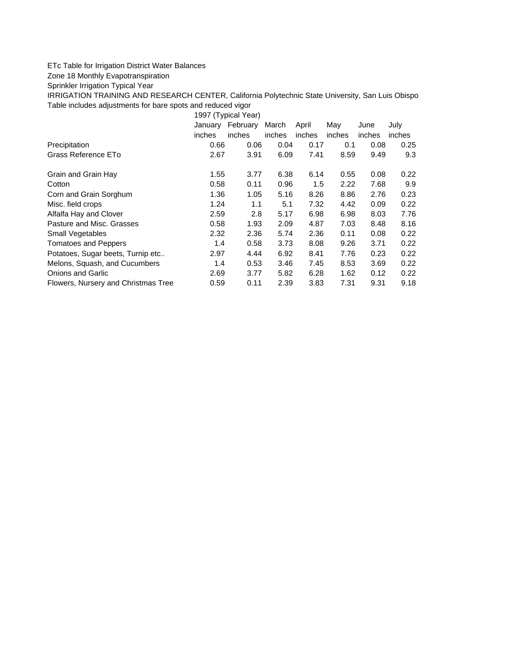## ETc Table for Irrigation District Water Balances

Zone 18 Monthly Evapotranspiration

Sprinkler Irrigation Typical Year

IRRIGATION TRAINING AND RESEARCH CENTER, California Polytechnic State University, San Luis Obispo Table includes adjustments for bare spots and reduced vigor

1997 (Typical Year)

|                                     | January<br>inches | February<br>inches | March<br>inches | April<br>inches | May<br>inches | June<br>inches | July<br>inches |
|-------------------------------------|-------------------|--------------------|-----------------|-----------------|---------------|----------------|----------------|
| Precipitation                       | 0.66              | 0.06               | 0.04            | 0.17            | 0.1           | 0.08           | 0.25           |
| Grass Reference ETo                 | 2.67              | 3.91               | 6.09            | 7.41            | 8.59          | 9.49           | 9.3            |
| Grain and Grain Hay                 | 1.55              | 3.77               | 6.38            | 6.14            | 0.55          | 0.08           | 0.22           |
| Cotton                              | 0.58              | 0.11               | 0.96            | 1.5             | 2.22          | 7.68           | 9.9            |
| Corn and Grain Sorghum              | 1.36              | 1.05               | 5.16            | 8.26            | 8.86          | 2.76           | 0.23           |
| Misc. field crops                   | 1.24              | 1.1                | 5.1             | 7.32            | 4.42          | 0.09           | 0.22           |
| Alfalfa Hay and Clover              | 2.59              | 2.8                | 5.17            | 6.98            | 6.98          | 8.03           | 7.76           |
| Pasture and Misc. Grasses           | 0.58              | 1.93               | 2.09            | 4.87            | 7.03          | 8.48           | 8.16           |
| <b>Small Vegetables</b>             | 2.32              | 2.36               | 5.74            | 2.36            | 0.11          | 0.08           | 0.22           |
| Tomatoes and Peppers                | 1.4               | 0.58               | 3.73            | 8.08            | 9.26          | 3.71           | 0.22           |
| Potatoes, Sugar beets, Turnip etc   | 2.97              | 4.44               | 6.92            | 8.41            | 7.76          | 0.23           | 0.22           |
| Melons, Squash, and Cucumbers       | 1.4               | 0.53               | 3.46            | 7.45            | 8.53          | 3.69           | 0.22           |
| <b>Onions and Garlic</b>            | 2.69              | 3.77               | 5.82            | 6.28            | 1.62          | 0.12           | 0.22           |
| Flowers, Nursery and Christmas Tree | 0.59              | 0.11               | 2.39            | 3.83            | 7.31          | 9.31           | 9.18           |